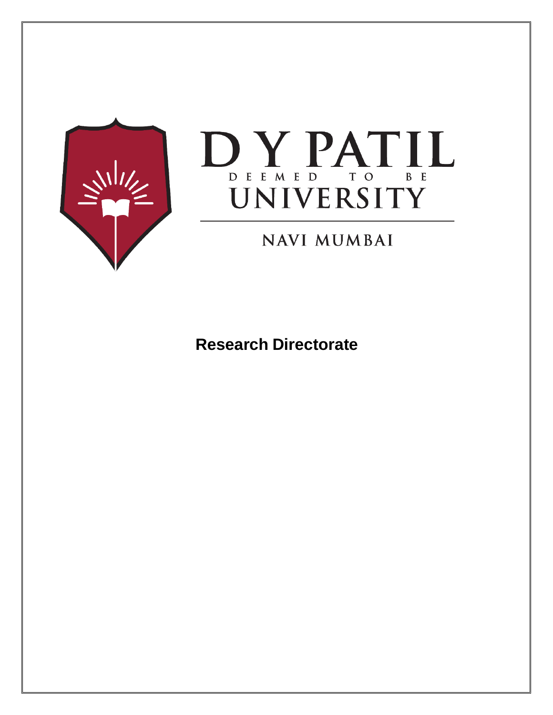



## **NAVI MUMBAI**

**Research Directorate**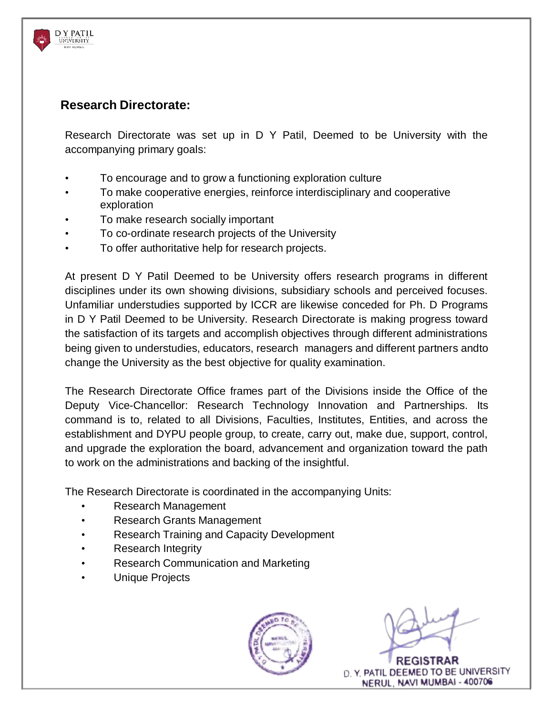## **Research Directorate:**

D Y PATIL **UNIVERSITY** 

> Research Directorate was set up in D Y Patil, Deemed to be University with the accompanying primary goals:

- To encourage and to grow a functioning exploration culture
- To make cooperative energies, reinforce interdisciplinary and cooperative exploration
- To make research socially important
- To co-ordinate research projects of the University
- To offer authoritative help for research projects.

At present D Y Patil Deemed to be University offers research programs in different disciplines under its own showing divisions, subsidiary schools and perceived focuses. Unfamiliar understudies supported by ICCR are likewise conceded for Ph. D Programs in D Y Patil Deemed to be University. Research Directorate is making progress toward the satisfaction of its targets and accomplish objectives through different administrations being given to understudies, educators, research managers and different partners andto change the University as the best objective for quality examination.

The Research Directorate Office frames part of the Divisions inside the Office of the Deputy Vice-Chancellor: Research Technology Innovation and Partnerships. Its command is to, related to all Divisions, Faculties, Institutes, Entities, and across the establishment and DYPU people group, to create, carry out, make due, support, control, and upgrade the exploration the board, advancement and organization toward the path to work on the administrations and backing of the insightful.

The Research Directorate is coordinated in the accompanying Units:

- Research Management
- Research Grants Management
- Research Training and Capacity Development
- Research Integrity
- Research Communication and Marketing
- Unique Projects



D. Y. PATIL DEEMED TO BE UNIVERSITY NERUL, NAVI MUMBAI - 400706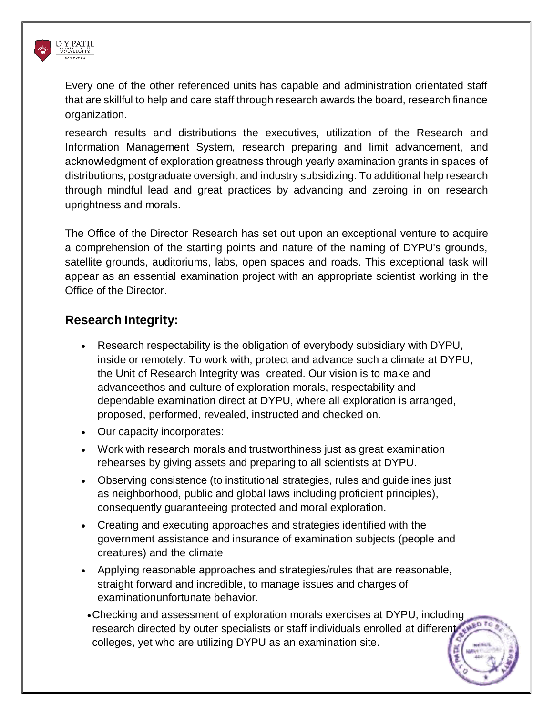

Every one of the other referenced units has capable and administration orientated staff that are skillful to help and care staff through research awards the board, research finance organization.

research results and distributions the executives, utilization of the Research and Information Management System, research preparing and limit advancement, and acknowledgment of exploration greatness through yearly examination grants in spaces of distributions, postgraduate oversight and industry subsidizing. To additional help research through mindful lead and great practices by advancing and zeroing in on research uprightness and morals.

The Office of the Director Research has set out upon an exceptional venture to acquire a comprehension of the starting points and nature of the naming of DYPU's grounds, satellite grounds, auditoriums, labs, open spaces and roads. This exceptional task will appear as an essential examination project with an appropriate scientist working in the Office of the Director.

## **Research Integrity:**

- Research respectability is the obligation of everybody subsidiary with DYPU, inside or remotely. To work with, protect and advance such a climate at DYPU, the Unit of Research Integrity was created. Our vision is to make and advanceethos and culture of exploration morals, respectability and dependable examination direct at DYPU, where all exploration is arranged, proposed, performed, revealed, instructed and checked on.
- Our capacity incorporates:
- Work with research morals and trustworthiness just as great examination rehearses by giving assets and preparing to all scientists at DYPU.
- Observing consistence (to institutional strategies, rules and guidelines just as neighborhood, public and global laws including proficient principles), consequently guaranteeing protected and moral exploration.
- Creating and executing approaches and strategies identified with the government assistance and insurance of examination subjects (people and creatures) and the climate
- Applying reasonable approaches and strategies/rules that are reasonable, straight forward and incredible, to manage issues and charges of examinationunfortunate behavior.
- Checking and assessment of exploration morals exercises at DYPU, including research directed by outer specialists or staff individuals enrolled at different colleges, yet who are utilizing DYPU as an examination site.